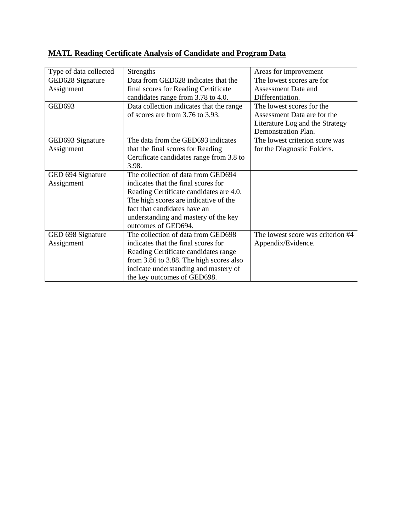| Type of data collected | <b>Strengths</b>                         | Areas for improvement             |
|------------------------|------------------------------------------|-----------------------------------|
| GED628 Signature       | Data from GED628 indicates that the      | The lowest scores are for         |
| Assignment             | final scores for Reading Certificate     | Assessment Data and               |
|                        | candidates range from 3.78 to 4.0.       | Differentiation.                  |
| <b>GED693</b>          | Data collection indicates that the range | The lowest scores for the         |
|                        | of scores are from 3.76 to 3.93.         | Assessment Data are for the       |
|                        |                                          | Literature Log and the Strategy   |
|                        |                                          | Demonstration Plan.               |
| GED693 Signature       | The data from the GED693 indicates       | The lowest criterion score was    |
| Assignment             | that the final scores for Reading        | for the Diagnostic Folders.       |
|                        | Certificate candidates range from 3.8 to |                                   |
|                        | 3.98.                                    |                                   |
| GED 694 Signature      | The collection of data from GED694       |                                   |
| Assignment             | indicates that the final scores for      |                                   |
|                        | Reading Certificate candidates are 4.0.  |                                   |
|                        | The high scores are indicative of the    |                                   |
|                        | fact that candidates have an             |                                   |
|                        | understanding and mastery of the key     |                                   |
|                        | outcomes of GED694.                      |                                   |
| GED 698 Signature      | The collection of data from GED698       | The lowest score was criterion #4 |
| Assignment             | indicates that the final scores for      | Appendix/Evidence.                |
|                        | Reading Certificate candidates range     |                                   |
|                        | from 3.86 to 3.88. The high scores also  |                                   |
|                        | indicate understanding and mastery of    |                                   |
|                        | the key outcomes of GED698.              |                                   |

## **MATL Reading Certificate Analysis of Candidate and Program Data**